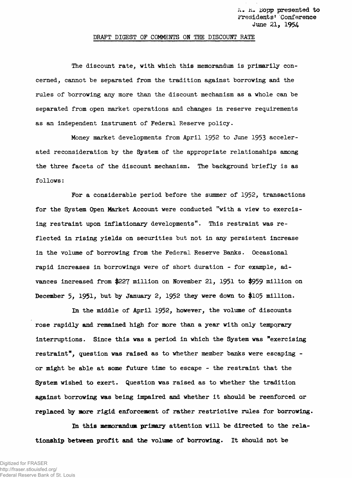## **DRAFT DIGEST OF COMMENTS ON THE DISCOUNT RATE**

**The discount rate, with which this memorandum is primarily concerned, cannot be separated from the tradition against borrowing and the rules of borrowing any more than the discount mechanism as a whole can be separated from open market operations and changes in reserve requirements as an independent instrument of Federal Reserve policy.**

**Money market developments from April 1952 to June 1953 accelerated reconsideration by the System of the appropriate relationships among the three facets of the discount mechanism. The background briefly is as follows:**

**For a considerable period before the summer of 1952, transactions for the System Open Market Account were conducted "with a view to exercising restraint upon inflationary developments". This restraint was reflected in rising yields on securities but not in any persistent increase in the volume of borrowing from the Federal Reserve Banks. Occasional rapid increases in borrowings were of short duration - for example, advances increased from \$227 million on November 21, 1951 to \$959 million on December 5; 1951** *>* **but by January 2, 1952 they were down to \$105 million.**

**In the middle of April 1952, however, the volume of discounts rose rapidly and remained high for more than a year with only temporary interruptions. Since this was a period in which the System was "exercising restraint", question was raised as to whether member banks were escaping or might be able at some future time to escape - the restraint that the System wished to exert. Question was raised as to whether the tradition against borrowing was being impaired and whether it should be reenforced or replaced by more rigid enforcement of rather restrictive rules for borrowing.**

**In this memorandum primary attention will be directed to the relationship between profit and the volume of borrowing. It should not be**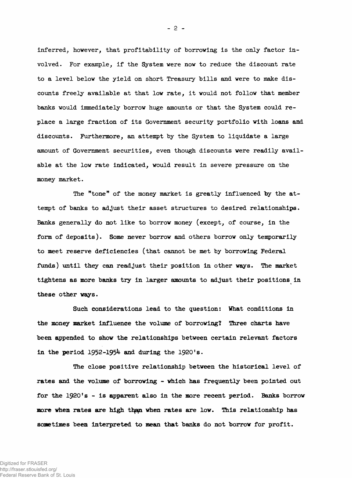**inferred, however, that profitability of borrowing is the only factor involved. For example, if the System were now to reduce the discount rate to a level below the yield on short Treasury bills and were to make discounts freely available at that low rate, it would not follow that member banks would Immediately borrow huge amounts or that the System could replace a large fraction of its Government security portfolio with loans and discounts. Furthermore, an attempt by the System to liquidate a large amount of Government securities, even though discounts were readily available at the low rate indicated, would result in severe pressure on the money market.**

**The "tone" of the money market is greatly influenced by the attempt of banks to adjust their asset structures to desired relationships. Banks generally do not like to borrow money (except, of course, in the form of deposits). Some never borrow and others borrow only temporarily to meet reserve deficiencies (that cannot be met by borrowing Federal funds) until they can readjust their position in other ways. The market tightens as more banks try in larger amounts to adjust their positions in these other ways.**

**Such considerations lead to the question: What conditions in the money market influence the volume of borrowing? Three charts have been appended to show the relationships between certain relevant factors in the period 1952-1954 and during the 1920's.**

**The close positive relationship between the historical level of rates and the volume of borrowing - which has frequently been pointed out** for the 1920's - is apparent also in the more recent period. Banks borrow more when rates are high than when rates are low. This relationship has **some times been interpreted to mean that banks do not borrow for profit.**

- 2 -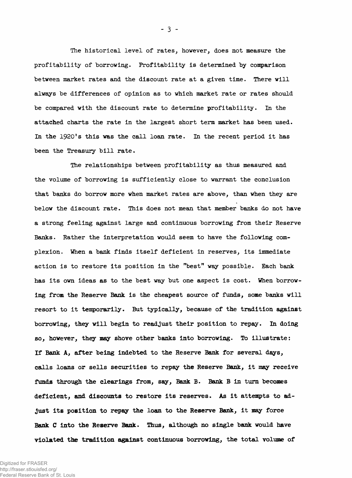**The historical level of rates, however, does not measure the profitability of borrowing. Profitability is determined by comparison between market rates and the discount rate at a given time. There will always be differences of opinion as to which market rate or rates should be compared with the discount rate to determine profitability. In the attached charts the rate in the largest short term market has been used. In the 1920's this was the call loan rate. In the recent period it has been the Treasury bill rate.**

**The relationships between profitability as thus measured and the volume of borrowing is sufficiently close to warrant the conclusion that banks do borrow more when market rates are above, than when they are below the discount rate. This does not mean that member banks do not have a strong feeling against large and continuous borrowing from their Reserve Banks. Rather the interpretation would seem to have the following complexion. When a bank finds itself deficient in reserves, its immediate action is to restore its position in the "best" way possible. Each bank has its own ideas as to the best way but one aspect is cost. When borrowing from the Reserve Bank is the cheapest source of funds, some banks will resort to it temporarily. But typically, because of the tradition against borrowing, they will begin to readjust their position to repay. In doing so, however, they may shove other banks into borrowing. To illustrate: If Bank A, after being indebted to the Reserve Bank for several days, calls loans or sells securities to repay the Reserve Bank, it may receive funds through the clearings from, say, Bank B. Bank B in turn becomes** deficient, and discounts to restore its reserves. As it attempts to ad**just its position to repay the loan to the Reserve Bank, it may force** Bank C into the Reserve Bank. Thus, although no single bank would have **violated the tradition against continuous borrowing, the total volume of**

**- 3 -**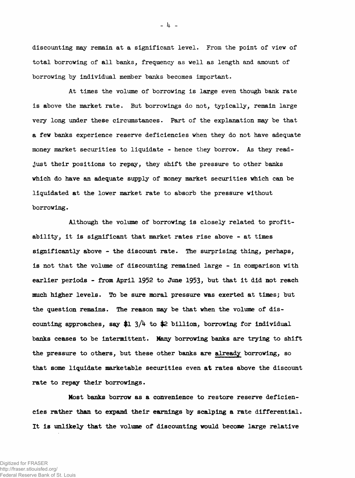**discounting may remain at a significant level. From the point of view of total borrowing of all banks, frequency as well as length and amount of borrowing by individual member banks becomes important.**

**At times the volume of borrowing is large even though bank rate is above the market rate. But borrowings do not, typically, remain large very long under these circumstances. Part of the explanation may be that a few banks experience reserve deficiencies when they do not have adequate money market securities to liquidate - hence they borrow. As they readjust their positions to repay, they shift the pressure to other banks which do have an adequate supply of money market securities which can be liquidated at the lower market rate to absorb the pressure without borrowing.**

**Although the volume of borrowing is closely related to profitability, it is significant that market rates rise above - at times significantly above - the discount rate. The surprising thing, perhaps, is not that the volume of discounting remained large - in comparison with earlier periods - from April 1952 to June 1953** *>* **hut that it did not reach much higher levels. To be sure moral pressure was exerted at times; but the question remains. The reason may be that when the volume of dis**counting approaches, say  $$1 \frac{3}{4}$  to  $$2$  billion, borrowing for individual **banks ceases to be intermittent. Many borrowing banks are trying to shift the pressure to others, but these other banks are already borrowing, so that some liquidate marketable securities even at rates above the discount rate to repay their borrowings.**

**Most banks borrow as a convenience to restore reserve deficiencies rather than to expand their earnings by scalping a rate differential. It is unlikely that the volume of discounting would become large relative**

- *k -*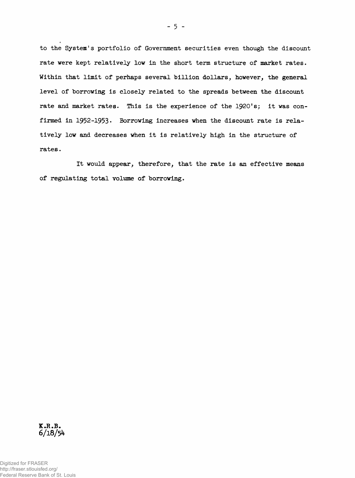**to the System's portfolio of Government securities even though the discount rate were kept relatively low in the short term structure of market rates.** Within that limit of perhaps several billion dollars, however, the general **level of borrowing is closely related to the spreads between the discount rate and market rates. This is the experience of the 1920's; it was con**firmed in 1952-1953. Borrowing increases when the discount rate is rela**tively low and decreases when it is relatively high in the structure of rates.**

**It would appear, therefore, that the rate is an effective means of regulating total volume of borrowing.**



Digitized for FRASER http://fraser.stlouisfed.org/ Federal Reserve Bank of St. Louis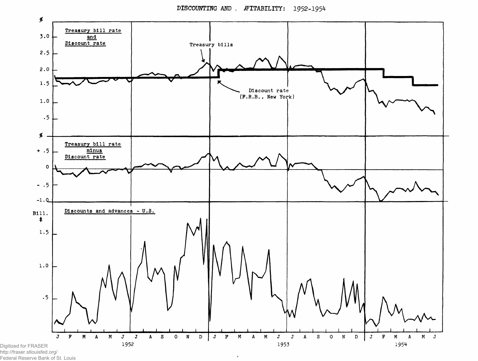**DISCOUNTING AND . JFITABILITY: 1952-1954**



 $\pmb{\cdot}$ 

Federal Reserve Bank of St. Louis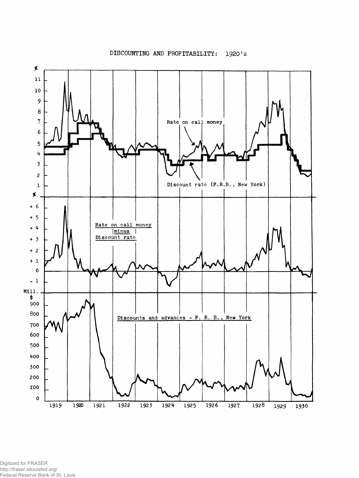## **DISCOUNTING AND PROFITABILITY: 1920's**



Digitized for FRASER http://fraser.stlouisfed.org/ Federal Reserve Bank of St. Louis